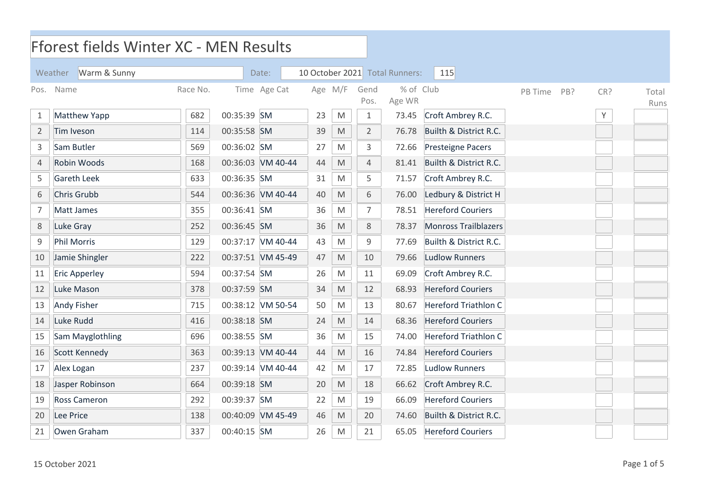|                | Fforest fields Winter XC - MEN Results |          |             |                   |                 |                                                                                                            |                |                       |                             |         |     |     |       |
|----------------|----------------------------------------|----------|-------------|-------------------|-----------------|------------------------------------------------------------------------------------------------------------|----------------|-----------------------|-----------------------------|---------|-----|-----|-------|
|                | Warm & Sunny<br>Weather                |          |             | Date:             | 10 October 2021 |                                                                                                            |                | <b>Total Runners:</b> | 115                         |         |     |     |       |
| Pos.           | Name                                   | Race No. |             | Time Age Cat      |                 | Age M/F                                                                                                    | Gend           | % of Club             |                             | PB Time | PB? | CR? | Total |
|                |                                        |          |             |                   |                 |                                                                                                            | Pos.           | Age WR                |                             |         |     |     | Runs  |
| 1              | <b>Matthew Yapp</b>                    | 682      | 00:35:39 SM |                   | 23              | $\mathsf{M}% _{T}=\mathsf{M}_{T}\!\left( a,b\right) ,\ \mathsf{M}_{T}=\mathsf{M}_{T}\!\left( a,b\right) ,$ | 1              | 73.45                 | Croft Ambrey R.C.           |         |     | Υ   |       |
| $\overline{2}$ | Tim Iveson                             | 114      | 00:35:58 SM |                   | 39              | $\mathsf{M}% _{T}=\mathsf{M}_{T}\!\left( a,b\right) ,\ \mathsf{M}_{T}=\mathsf{M}_{T}\!\left( a,b\right) ,$ | 2              | 76.78                 | Builth & District R.C.      |         |     |     |       |
| $\mathsf{3}$   | Sam Butler                             | 569      | 00:36:02 SM |                   | 27              | M                                                                                                          | 3              | 72.66                 | <b>Presteigne Pacers</b>    |         |     |     |       |
| $\sqrt{4}$     | Robin Woods                            | 168      |             | 00:36:03 VM 40-44 | 44              | $\mathsf{M}% _{T}=\mathsf{M}_{T}\!\left( a,b\right) ,\ \mathsf{M}_{T}=\mathsf{M}_{T}\!\left( a,b\right) ,$ | $\overline{4}$ | 81.41                 | Builth & District R.C.      |         |     |     |       |
| 5              | <b>Gareth Leek</b>                     | 633      | 00:36:35 SM |                   | 31              | M                                                                                                          | 5              | 71.57                 | Croft Ambrey R.C.           |         |     |     |       |
| 6              | Chris Grubb                            | 544      |             | 00:36:36 VM 40-44 | 40              | $\mathsf{M}% _{T}=\mathsf{M}_{T}\!\left( a,b\right) ,\ \mathsf{M}_{T}=\mathsf{M}_{T}\!\left( a,b\right) ,$ | 6              | 76.00                 | Ledbury & District H        |         |     |     |       |
| $\overline{7}$ | Matt James                             | 355      | 00:36:41 SM |                   | 36              | M                                                                                                          | 7              | 78.51                 | <b>Hereford Couriers</b>    |         |     |     |       |
| $\,8\,$        | Luke Gray                              | 252      | 00:36:45 SM |                   | 36              | $\mathsf{M}% _{T}=\mathsf{M}_{T}\!\left( a,b\right) ,\ \mathsf{M}_{T}=\mathsf{M}_{T}\!\left( a,b\right) ,$ | 8              | 78.37                 | <b>Monross Trailblazers</b> |         |     |     |       |
| $\mathsf 9$    | <b>Phil Morris</b>                     | 129      |             | 00:37:17 VM 40-44 | 43              | $\mathsf{M}% _{T}=\mathsf{M}_{T}\!\left( a,b\right) ,\ \mathsf{M}_{T}=\mathsf{M}_{T}\!\left( a,b\right) ,$ | 9              | 77.69                 | Builth & District R.C.      |         |     |     |       |
| 10             | Jamie Shingler                         | 222      |             | 00:37:51 VM 45-49 | 47              | $\mathsf{M}% _{T}=\mathsf{M}_{T}\!\left( a,b\right) ,\ \mathsf{M}_{T}=\mathsf{M}_{T}\!\left( a,b\right) ,$ | 10             | 79.66                 | <b>Ludlow Runners</b>       |         |     |     |       |
| 11             | <b>Eric Apperley</b>                   | 594      | 00:37:54 SM |                   | 26              | M                                                                                                          | 11             | 69.09                 | Croft Ambrey R.C.           |         |     |     |       |
| 12             | Luke Mason                             | 378      | 00:37:59 SM |                   | 34              | $\mathsf{M}% _{T}=\mathsf{M}_{T}\!\left( a,b\right) ,\ \mathsf{M}_{T}=\mathsf{M}_{T}\!\left( a,b\right) ,$ | 12             | 68.93                 | <b>Hereford Couriers</b>    |         |     |     |       |
| 13             | <b>Andy Fisher</b>                     | 715      |             | 00:38:12 VM 50-54 | 50              | $\mathsf{M}% _{T}=\mathsf{M}_{T}\!\left( a,b\right) ,\ \mathsf{M}_{T}=\mathsf{M}_{T}\!\left( a,b\right) ,$ | 13             | 80.67                 | <b>Hereford Triathlon C</b> |         |     |     |       |
| 14             | Luke Rudd                              | 416      | 00:38:18 SM |                   | 24              | $\mathsf{M}% _{T}=\mathsf{M}_{T}\!\left( a,b\right) ,\ \mathsf{M}_{T}=\mathsf{M}_{T}\!\left( a,b\right) ,$ | 14             | 68.36                 | <b>Hereford Couriers</b>    |         |     |     |       |
| 15             | <b>Sam Mayglothling</b>                | 696      | 00:38:55 SM |                   | 36              | M                                                                                                          | 15             | 74.00                 | <b>Hereford Triathlon C</b> |         |     |     |       |
| 16             | Scott Kennedy                          | 363      |             | 00:39:13 VM 40-44 | 44              | $\mathsf{M}% _{T}=\mathsf{M}_{T}\!\left( a,b\right) ,\ \mathsf{M}_{T}=\mathsf{M}_{T}\!\left( a,b\right) ,$ | 16             | 74.84                 | <b>Hereford Couriers</b>    |         |     |     |       |
| 17             | Alex Logan                             | 237      |             | 00:39:14 VM 40-44 | 42              | M                                                                                                          | 17             | 72.85                 | <b>Ludlow Runners</b>       |         |     |     |       |
| 18             | Jasper Robinson                        | 664      | 00:39:18 SM |                   | 20              | $\mathsf{M}% _{T}=\mathsf{M}_{T}\!\left( a,b\right) ,\ \mathsf{M}_{T}=\mathsf{M}_{T}\!\left( a,b\right) ,$ | 18             | 66.62                 | Croft Ambrey R.C.           |         |     |     |       |
| 19             | <b>Ross Cameron</b>                    | 292      | 00:39:37 SM |                   | 22              | $\mathsf{M}% _{T}=\mathsf{M}_{T}\!\left( a,b\right) ,\ \mathsf{M}_{T}=\mathsf{M}_{T}\!\left( a,b\right) ,$ | 19             | 66.09                 | <b>Hereford Couriers</b>    |         |     |     |       |
| 20             | Lee Price                              | 138      |             | 00:40:09 VM 45-49 | 46              | $\mathsf{M}% _{T}=\mathsf{M}_{T}\!\left( a,b\right) ,\ \mathsf{M}_{T}=\mathsf{M}_{T}\!\left( a,b\right) ,$ | 20             | 74.60                 | Builth & District R.C.      |         |     |     |       |
| 21             | Owen Graham                            | 337      | 00:40:15 SM |                   | 26              | $\mathsf{M}% _{T}=\mathsf{M}_{T}\!\left( a,b\right) ,\ \mathsf{M}_{T}=\mathsf{M}_{T}\!\left( a,b\right) ,$ | 21             | 65.05                 | <b>Hereford Couriers</b>    |         |     |     |       |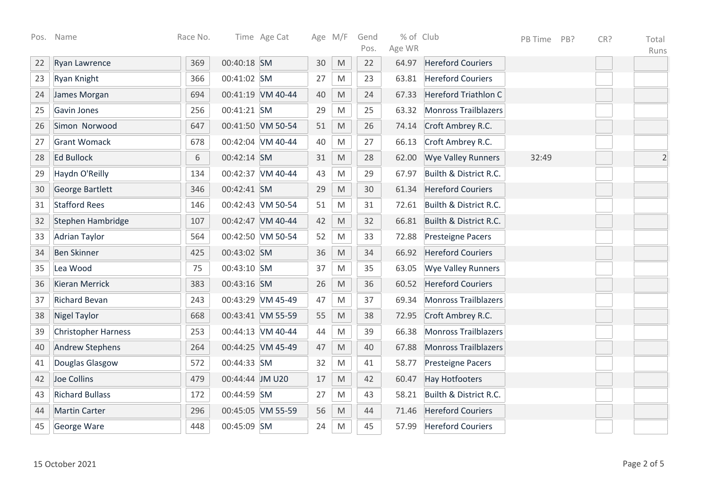| Pos. | Name                       | Race No. |                 | Time Age Cat      |    | Age M/F                                                                                                    | Gend | % of Club |                             | PB Time | PB? | CR? | Total          |
|------|----------------------------|----------|-----------------|-------------------|----|------------------------------------------------------------------------------------------------------------|------|-----------|-----------------------------|---------|-----|-----|----------------|
|      |                            |          |                 |                   |    |                                                                                                            | Pos. | Age WR    |                             |         |     |     | Runs           |
| 22   | Ryan Lawrence              | 369      | 00:40:18 SM     |                   | 30 | $\mathsf{M}% _{T}=\mathsf{M}_{T}\!\left( a,b\right) ,\ \mathsf{M}_{T}=\mathsf{M}_{T}\!\left( a,b\right) ,$ | 22   | 64.97     | <b>Hereford Couriers</b>    |         |     |     |                |
| 23   | Ryan Knight                | 366      | 00:41:02 SM     |                   | 27 | M                                                                                                          | 23   | 63.81     | <b>Hereford Couriers</b>    |         |     |     |                |
| 24   | James Morgan               | 694      |                 | 00:41:19 VM 40-44 | 40 | M                                                                                                          | 24   | 67.33     | <b>Hereford Triathlon C</b> |         |     |     |                |
| 25   | Gavin Jones                | 256      | 00:41:21 SM     |                   | 29 | M                                                                                                          | 25   | 63.32     | <b>Monross Trailblazers</b> |         |     |     |                |
| 26   | Simon Norwood              | 647      |                 | 00:41:50 VM 50-54 | 51 | M                                                                                                          | 26   | 74.14     | Croft Ambrey R.C.           |         |     |     |                |
| 27   | <b>Grant Womack</b>        | 678      |                 | 00:42:04 VM 40-44 | 40 | M                                                                                                          | 27   | 66.13     | Croft Ambrey R.C.           |         |     |     |                |
| 28   | <b>Ed Bullock</b>          | 6        | 00:42:14 SM     |                   | 31 | $\mathsf{M}% _{T}=\mathsf{M}_{T}\!\left( a,b\right) ,\ \mathsf{M}_{T}=\mathsf{M}_{T}\!\left( a,b\right) ,$ | 28   | 62.00     | <b>Wye Valley Runners</b>   | 32:49   |     |     | $\overline{2}$ |
| 29   | Haydn O'Reilly             | 134      |                 | 00:42:37 VM 40-44 | 43 | $\mathsf{M}% _{T}=\mathsf{M}_{T}\!\left( a,b\right) ,\ \mathsf{M}_{T}=\mathsf{M}_{T}\!\left( a,b\right) ,$ | 29   | 67.97     | Builth & District R.C.      |         |     |     |                |
| 30   | George Bartlett            | 346      | 00:42:41 SM     |                   | 29 | M                                                                                                          | 30   | 61.34     | <b>Hereford Couriers</b>    |         |     |     |                |
| 31   | <b>Stafford Rees</b>       | 146      |                 | 00:42:43 VM 50-54 | 51 | M                                                                                                          | 31   | 72.61     | Builth & District R.C.      |         |     |     |                |
| 32   | Stephen Hambridge          | 107      |                 | 00:42:47 VM 40-44 | 42 | M                                                                                                          | 32   | 66.81     | Builth & District R.C.      |         |     |     |                |
| 33   | <b>Adrian Taylor</b>       | 564      |                 | 00:42:50 VM 50-54 | 52 | M                                                                                                          | 33   | 72.88     | <b>Presteigne Pacers</b>    |         |     |     |                |
| 34   | <b>Ben Skinner</b>         | 425      | 00:43:02 SM     |                   | 36 | $\mathsf{M}% _{T}=\mathsf{M}_{T}\!\left( a,b\right) ,\ \mathsf{M}_{T}=\mathsf{M}_{T}\!\left( a,b\right) ,$ | 34   | 66.92     | <b>Hereford Couriers</b>    |         |     |     |                |
| 35   | Lea Wood                   | 75       | 00:43:10 SM     |                   | 37 | $\mathsf{M}% _{T}=\mathsf{M}_{T}\!\left( a,b\right) ,\ \mathsf{M}_{T}=\mathsf{M}_{T}\!\left( a,b\right) ,$ | 35   | 63.05     | <b>Wye Valley Runners</b>   |         |     |     |                |
| 36   | Kieran Merrick             | 383      | 00:43:16 SM     |                   | 26 | M                                                                                                          | 36   | 60.52     | <b>Hereford Couriers</b>    |         |     |     |                |
| 37   | <b>Richard Bevan</b>       | 243      |                 | 00:43:29 VM 45-49 | 47 | M                                                                                                          | 37   | 69.34     | <b>Monross Trailblazers</b> |         |     |     |                |
| 38   | <b>Nigel Taylor</b>        | 668      |                 | 00:43:41 VM 55-59 | 55 | M                                                                                                          | 38   | 72.95     | Croft Ambrey R.C.           |         |     |     |                |
| 39   | <b>Christopher Harness</b> | 253      |                 | 00:44:13 VM 40-44 | 44 | M                                                                                                          | 39   | 66.38     | <b>Monross Trailblazers</b> |         |     |     |                |
| 40   | <b>Andrew Stephens</b>     | 264      |                 | 00:44:25 VM 45-49 | 47 | $\mathsf{M}% _{T}=\mathsf{M}_{T}\!\left( a,b\right) ,\ \mathsf{M}_{T}=\mathsf{M}_{T}\!\left( a,b\right) ,$ | 40   | 67.88     | <b>Monross Trailblazers</b> |         |     |     |                |
| 41   | Douglas Glasgow            | 572      | 00:44:33 SM     |                   | 32 | $\mathsf{M}% _{T}=\mathsf{M}_{T}\!\left( a,b\right) ,\ \mathsf{M}_{T}=\mathsf{M}_{T}\!\left( a,b\right) ,$ | 41   | 58.77     | <b>Presteigne Pacers</b>    |         |     |     |                |
| 42   | Joe Collins                | 479      | 00:44:44 JM U20 |                   | 17 | $\mathsf{M}% _{T}=\mathsf{M}_{T}\!\left( a,b\right) ,\ \mathsf{M}_{T}=\mathsf{M}_{T}\!\left( a,b\right) ,$ | 42   | 60.47     | <b>Hay Hotfooters</b>       |         |     |     |                |
| 43   | <b>Richard Bullass</b>     | 172      | 00:44:59 SM     |                   | 27 | M                                                                                                          | 43   | 58.21     | Builth & District R.C.      |         |     |     |                |
| 44   | <b>Martin Carter</b>       | 296      |                 | 00:45:05 VM 55-59 | 56 | M                                                                                                          | 44   | 71.46     | <b>Hereford Couriers</b>    |         |     |     |                |
| 45   | George Ware                | 448      | 00:45:09 SM     |                   | 24 | M                                                                                                          | 45   | 57.99     | <b>Hereford Couriers</b>    |         |     |     |                |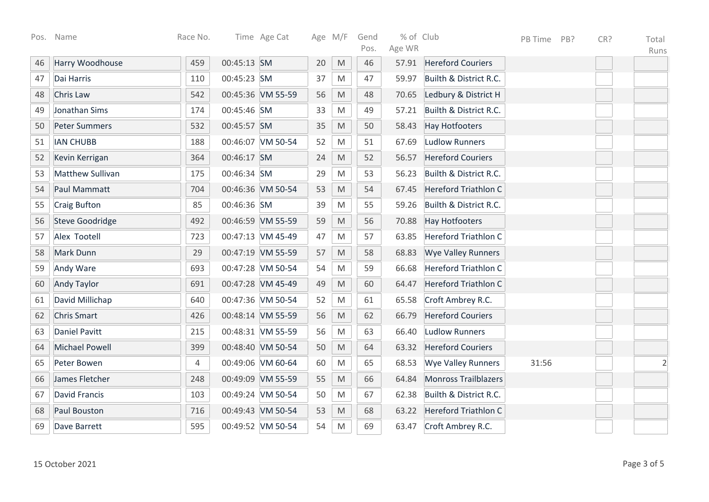| Pos. | Name                    | Race No. |             | Time Age Cat      |    | Age M/F                                                                                                    | Gend | % of Club |                             | PB Time | PB? | CR? | Total          |
|------|-------------------------|----------|-------------|-------------------|----|------------------------------------------------------------------------------------------------------------|------|-----------|-----------------------------|---------|-----|-----|----------------|
|      |                         |          |             |                   |    |                                                                                                            | Pos. | Age WR    |                             |         |     |     | Runs           |
| 46   | Harry Woodhouse         | 459      | 00:45:13 SM |                   | 20 | $\mathsf{M}% _{T}=\mathsf{M}_{T}\!\left( a,b\right) ,\ \mathsf{M}_{T}=\mathsf{M}_{T}\!\left( a,b\right) ,$ | 46   | 57.91     | <b>Hereford Couriers</b>    |         |     |     |                |
| 47   | Dai Harris              | 110      | 00:45:23 SM |                   | 37 | M                                                                                                          | 47   | 59.97     | Builth & District R.C.      |         |     |     |                |
| 48   | Chris Law               | 542      |             | 00:45:36 VM 55-59 | 56 | M                                                                                                          | 48   | 70.65     | Ledbury & District H        |         |     |     |                |
| 49   | Jonathan Sims           | 174      | 00:45:46 SM |                   | 33 | $\mathsf{M}% _{T}=\mathsf{M}_{T}\!\left( a,b\right) ,\ \mathsf{M}_{T}=\mathsf{M}_{T}\!\left( a,b\right) ,$ | 49   | 57.21     | Builth & District R.C.      |         |     |     |                |
| 50   | <b>Peter Summers</b>    | 532      | 00:45:57 SM |                   | 35 | M                                                                                                          | 50   | 58.43     | <b>Hay Hotfooters</b>       |         |     |     |                |
| 51   | <b>IAN CHUBB</b>        | 188      |             | 00:46:07 VM 50-54 | 52 | M                                                                                                          | 51   | 67.69     | <b>Ludlow Runners</b>       |         |     |     |                |
| 52   | Kevin Kerrigan          | 364      | 00:46:17 SM |                   | 24 | M                                                                                                          | 52   | 56.57     | <b>Hereford Couriers</b>    |         |     |     |                |
| 53   | <b>Matthew Sullivan</b> | 175      | 00:46:34 SM |                   | 29 | ${\sf M}$                                                                                                  | 53   | 56.23     | Builth & District R.C.      |         |     |     |                |
| 54   | Paul Mammatt            | 704      |             | 00:46:36 VM 50-54 | 53 | $\mathsf{M}% _{T}=\mathsf{M}_{T}\!\left( a,b\right) ,\ \mathsf{M}_{T}=\mathsf{M}_{T}\!\left( a,b\right) ,$ | 54   | 67.45     | <b>Hereford Triathlon C</b> |         |     |     |                |
| 55   | <b>Craig Bufton</b>     | 85       | 00:46:36 SM |                   | 39 | $\mathsf{M}% _{T}=\mathsf{M}_{T}\!\left( a,b\right) ,\ \mathsf{M}_{T}=\mathsf{M}_{T}\!\left( a,b\right) ,$ | 55   | 59.26     | Builth & District R.C.      |         |     |     |                |
| 56   | <b>Steve Goodridge</b>  | 492      |             | 00:46:59 VM 55-59 | 59 | $\mathsf{M}% _{T}=\mathsf{M}_{T}\!\left( a,b\right) ,\ \mathsf{M}_{T}=\mathsf{M}_{T}\!\left( a,b\right) ,$ | 56   | 70.88     | <b>Hay Hotfooters</b>       |         |     |     |                |
| 57   | Alex Tootell            | 723      |             | 00:47:13 VM 45-49 | 47 | M                                                                                                          | 57   | 63.85     | <b>Hereford Triathlon C</b> |         |     |     |                |
| 58   | Mark Dunn               | 29       |             | 00:47:19 VM 55-59 | 57 | M                                                                                                          | 58   | 68.83     | <b>Wye Valley Runners</b>   |         |     |     |                |
| 59   | Andy Ware               | 693      |             | 00:47:28 VM 50-54 | 54 | M                                                                                                          | 59   | 66.68     | Hereford Triathlon C        |         |     |     |                |
| 60   | <b>Andy Taylor</b>      | 691      |             | 00:47:28 VM 45-49 | 49 | M                                                                                                          | 60   | 64.47     | Hereford Triathlon C        |         |     |     |                |
| 61   | David Millichap         | 640      |             | 00:47:36 VM 50-54 | 52 | M                                                                                                          | 61   | 65.58     | Croft Ambrey R.C.           |         |     |     |                |
| 62   | <b>Chris Smart</b>      | 426      |             | 00:48:14 VM 55-59 | 56 | $\mathsf{M}% _{T}=\mathsf{M}_{T}\!\left( a,b\right) ,\ \mathsf{M}_{T}=\mathsf{M}_{T}\!\left( a,b\right) ,$ | 62   | 66.79     | <b>Hereford Couriers</b>    |         |     |     |                |
| 63   | <b>Daniel Pavitt</b>    | 215      |             | 00:48:31 VM 55-59 | 56 | $\mathsf{M}% _{T}=\mathsf{M}_{T}\!\left( a,b\right) ,\ \mathsf{M}_{T}=\mathsf{M}_{T}\!\left( a,b\right) ,$ | 63   | 66.40     | <b>Ludlow Runners</b>       |         |     |     |                |
| 64   | <b>Michael Powell</b>   | 399      |             | 00:48:40 VM 50-54 | 50 | M                                                                                                          | 64   | 63.32     | <b>Hereford Couriers</b>    |         |     |     |                |
| 65   | Peter Bowen             | 4        |             | 00:49:06 VM 60-64 | 60 | $\mathsf{M}% _{T}=\mathsf{M}_{T}\!\left( a,b\right) ,\ \mathsf{M}_{T}=\mathsf{M}_{T}\!\left( a,b\right) ,$ | 65   | 68.53     | <b>Wye Valley Runners</b>   | 31:56   |     |     | $\overline{c}$ |
| 66   | James Fletcher          | 248      |             | 00:49:09 VM 55-59 | 55 | $\mathsf{M}% _{T}=\mathsf{M}_{T}\!\left( a,b\right) ,\ \mathsf{M}_{T}=\mathsf{M}_{T}\!\left( a,b\right) ,$ | 66   | 64.84     | <b>Monross Trailblazers</b> |         |     |     |                |
| 67   | <b>David Francis</b>    | 103      |             | 00:49:24 VM 50-54 | 50 | M                                                                                                          | 67   | 62.38     | Builth & District R.C.      |         |     |     |                |
| 68   | <b>Paul Bouston</b>     | 716      |             | 00:49:43 VM 50-54 | 53 | $\mathsf{M}% _{T}=\mathsf{M}_{T}\!\left( a,b\right) ,\ \mathsf{M}_{T}=\mathsf{M}_{T}\!\left( a,b\right) ,$ | 68   | 63.22     | <b>Hereford Triathlon C</b> |         |     |     |                |
| 69   | Dave Barrett            | 595      |             | 00:49:52 VM 50-54 | 54 | M                                                                                                          | 69   | 63.47     | Croft Ambrey R.C.           |         |     |     |                |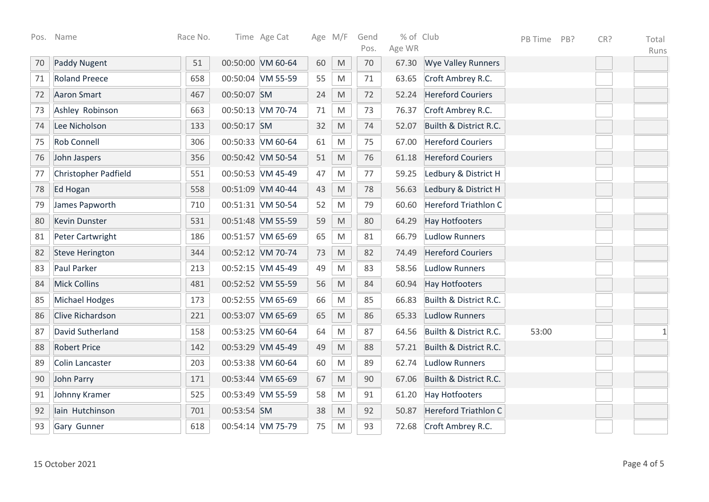| Pos. | Name                        | Race No. |             | Time Age Cat      |    | Age M/F                                                                                                    | Gend<br>Pos. | % of Club<br>Age WR |                             | PB Time | PB? | CR? | Total |
|------|-----------------------------|----------|-------------|-------------------|----|------------------------------------------------------------------------------------------------------------|--------------|---------------------|-----------------------------|---------|-----|-----|-------|
| 70   | <b>Paddy Nugent</b>         | 51       |             | 00:50:00 VM 60-64 | 60 | M                                                                                                          | 70           | 67.30               | <b>Wye Valley Runners</b>   |         |     |     | Runs  |
|      |                             |          |             |                   |    |                                                                                                            |              |                     |                             |         |     |     |       |
| 71   | <b>Roland Preece</b>        | 658      |             | 00:50:04 VM 55-59 | 55 | M                                                                                                          | 71           | 63.65               | Croft Ambrey R.C.           |         |     |     |       |
| 72   | <b>Aaron Smart</b>          | 467      | 00:50:07 SM |                   | 24 | $\mathsf{M}% _{T}=\mathsf{M}_{T}\!\left( a,b\right) ,\ \mathsf{M}_{T}=\mathsf{M}_{T}\!\left( a,b\right) ,$ | 72           | 52.24               | <b>Hereford Couriers</b>    |         |     |     |       |
| 73   | Ashley Robinson             | 663      |             | 00:50:13 VM 70-74 | 71 | $\mathsf{M}% _{T}=\mathsf{M}_{T}\!\left( a,b\right) ,\ \mathsf{M}_{T}=\mathsf{M}_{T}\!\left( a,b\right) ,$ | 73           | 76.37               | Croft Ambrey R.C.           |         |     |     |       |
| 74   | Lee Nicholson               | 133      | 00:50:17 SM |                   | 32 | $\mathsf{M}% _{T}=\mathsf{M}_{T}\!\left( a,b\right) ,\ \mathsf{M}_{T}=\mathsf{M}_{T}\!\left( a,b\right) ,$ | 74           | 52.07               | Builth & District R.C.      |         |     |     |       |
| 75   | <b>Rob Connell</b>          | 306      |             | 00:50:33 VM 60-64 | 61 | M                                                                                                          | 75           | 67.00               | <b>Hereford Couriers</b>    |         |     |     |       |
| 76   | John Jaspers                | 356      |             | 00:50:42 VM 50-54 | 51 | M                                                                                                          | 76           | 61.18               | <b>Hereford Couriers</b>    |         |     |     |       |
| 77   | <b>Christopher Padfield</b> | 551      |             | 00:50:53 VM 45-49 | 47 | M                                                                                                          | 77           | 59.25               | Ledbury & District H        |         |     |     |       |
| 78   | Ed Hogan                    | 558      |             | 00:51:09 VM 40-44 | 43 | $\mathsf{M}% _{T}=\mathsf{M}_{T}\!\left( a,b\right) ,\ \mathsf{M}_{T}=\mathsf{M}_{T}\!\left( a,b\right) ,$ | 78           | 56.63               | Ledbury & District H        |         |     |     |       |
| 79   | James Papworth              | 710      |             | 00:51:31 VM 50-54 | 52 | M                                                                                                          | 79           | 60.60               | <b>Hereford Triathlon C</b> |         |     |     |       |
| 80   | <b>Kevin Dunster</b>        | 531      |             | 00:51:48 VM 55-59 | 59 | $\mathsf{M}% _{T}=\mathsf{M}_{T}\!\left( a,b\right) ,\ \mathsf{M}_{T}=\mathsf{M}_{T}\!\left( a,b\right) ,$ | 80           | 64.29               | <b>Hay Hotfooters</b>       |         |     |     |       |
| 81   | <b>Peter Cartwright</b>     | 186      |             | 00:51:57 VM 65-69 | 65 | M                                                                                                          | 81           | 66.79               | <b>Ludlow Runners</b>       |         |     |     |       |
| 82   | <b>Steve Herington</b>      | 344      |             | 00:52:12 VM 70-74 | 73 | $\mathsf{M}% _{T}=\mathsf{M}_{T}\!\left( a,b\right) ,\ \mathsf{M}_{T}=\mathsf{M}_{T}\!\left( a,b\right) ,$ | 82           | 74.49               | <b>Hereford Couriers</b>    |         |     |     |       |
| 83   | Paul Parker                 | 213      |             | 00:52:15 VM 45-49 | 49 | M                                                                                                          | 83           | 58.56               | <b>Ludlow Runners</b>       |         |     |     |       |
| 84   | <b>Mick Collins</b>         | 481      |             | 00:52:52 VM 55-59 | 56 | $\mathsf{M}% _{T}=\mathsf{M}_{T}\!\left( a,b\right) ,\ \mathsf{M}_{T}=\mathsf{M}_{T}\!\left( a,b\right) ,$ | 84           | 60.94               | <b>Hay Hotfooters</b>       |         |     |     |       |
| 85   | <b>Michael Hodges</b>       | 173      |             | 00:52:55 VM 65-69 | 66 | $\mathsf{M}% _{T}=\mathsf{M}_{T}\!\left( a,b\right) ,\ \mathsf{M}_{T}=\mathsf{M}_{T}\!\left( a,b\right) ,$ | 85           | 66.83               | Builth & District R.C.      |         |     |     |       |
| 86   | Clive Richardson            | 221      |             | 00:53:07 VM 65-69 | 65 | $\mathsf{M}% _{T}=\mathsf{M}_{T}\!\left( a,b\right) ,\ \mathsf{M}_{T}=\mathsf{M}_{T}\!\left( a,b\right) ,$ | 86           | 65.33               | <b>Ludlow Runners</b>       |         |     |     |       |
| 87   | David Sutherland            | 158      |             | 00:53:25 VM 60-64 | 64 | M                                                                                                          | 87           | 64.56               | Builth & District R.C.      | 53:00   |     |     | 1     |
| 88   | <b>Robert Price</b>         | 142      |             | 00:53:29 VM 45-49 | 49 | M                                                                                                          | 88           | 57.21               | Builth & District R.C.      |         |     |     |       |
| 89   | <b>Colin Lancaster</b>      | 203      |             | 00:53:38 VM 60-64 | 60 | M                                                                                                          | 89           | 62.74               | <b>Ludlow Runners</b>       |         |     |     |       |
| 90   | John Parry                  | 171      |             | 00:53:44 VM 65-69 | 67 | $\mathsf{M}% _{T}=\mathsf{M}_{T}\!\left( a,b\right) ,\ \mathsf{M}_{T}=\mathsf{M}_{T}\!\left( a,b\right) ,$ | 90           | 67.06               | Builth & District R.C.      |         |     |     |       |
| 91   | Johnny Kramer               | 525      |             | 00:53:49 VM 55-59 | 58 | M                                                                                                          | 91           | 61.20               | <b>Hay Hotfooters</b>       |         |     |     |       |
| 92   | lain Hutchinson             | 701      | 00:53:54 SM |                   | 38 | $\mathsf{M}% _{T}=\mathsf{M}_{T}\!\left( a,b\right) ,\ \mathsf{M}_{T}=\mathsf{M}_{T}\!\left( a,b\right) ,$ | 92           | 50.87               | <b>Hereford Triathlon C</b> |         |     |     |       |
| 93   | Gary Gunner                 | 618      |             | 00:54:14 VM 75-79 | 75 | M                                                                                                          | 93           | 72.68               | Croft Ambrey R.C.           |         |     |     |       |